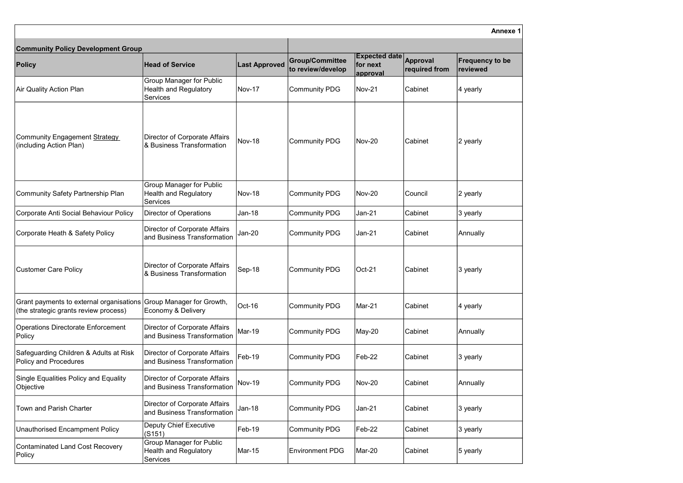| <b>Community Policy Development Group</b>                                                                   |                                                                                    |                      |                                             |                                              |                           |                                           |
|-------------------------------------------------------------------------------------------------------------|------------------------------------------------------------------------------------|----------------------|---------------------------------------------|----------------------------------------------|---------------------------|-------------------------------------------|
| <b>Policy</b>                                                                                               | <b>Head of Service</b>                                                             | <b>Last Approved</b> | <b>Group/Committee</b><br>to review/develop | <b>Expected date</b><br>for next<br>approval | Approval<br>required from | <b>Frequency to be</b><br><b>reviewed</b> |
| Air Quality Action Plan                                                                                     | <b>Group Manager for Public</b><br><b>Health and Regulatory</b><br><b>Services</b> | <b>Nov-17</b>        | Community PDG                               | $Nov-21$                                     | Cabinet                   | 4 yearly                                  |
| Community Engagement Strategy<br>(including Action Plan)                                                    | Director of Corporate Affairs<br>8 Business Transformation                         | <b>Nov-18</b>        | Community PDG                               | $Nov-20$                                     | Cabinet                   | 2 yearly                                  |
| Community Safety Partnership Plan                                                                           | <b>Group Manager for Public</b><br><b>Health and Regulatory</b><br>Services        | Nov-18               | Community PDG                               | $Nov-20$                                     | Council                   | 2 yearly                                  |
| Corporate Anti Social Behaviour Policy                                                                      | <b>Director of Operations</b>                                                      | <b>Jan-18</b>        | Community PDG                               | Jan-21                                       | Cabinet                   | 3 yearly                                  |
| Corporate Heath & Safety Policy                                                                             | Director of Corporate Affairs<br>and Business Transformation                       | Jan-20               | Community PDG                               | Jan-21                                       | Cabinet                   | Annually                                  |
| <b>Customer Care Policy</b>                                                                                 | Director of Corporate Affairs<br>& Business Transformation                         | Sep-18               | Community PDG                               | $ Oct-21$                                    | Cabinet                   | 3 yearly                                  |
| Grant payments to external organisations Group Manager for Growth,<br>(the strategic grants review process) | Economy & Delivery                                                                 | Oct-16               | Community PDG                               | Mar-21                                       | Cabinet                   | 4 yearly                                  |
| <b>Operations Directorate Enforcement</b><br>Policy                                                         | Director of Corporate Affairs<br>and Business Transformation                       | Mar-19               | Community PDG                               | May-20                                       | Cabinet                   | Annually                                  |
| Safeguarding Children & Adults at Risk<br><b>Policy and Procedures</b>                                      | Director of Corporate Affairs<br>and Business Transformation                       | Feb-19               | Community PDG                               | Feb-22                                       | Cabinet                   | 3 yearly                                  |
| <b>Single Equalities Policy and Equality</b><br>Objective                                                   | Director of Corporate Affairs<br>and Business Transformation                       | <b>Nov-19</b>        | Community PDG                               | Nov-20                                       | Cabinet                   | Annually                                  |
| <b>Town and Parish Charter</b>                                                                              | <b>Director of Corporate Affairs</b><br>and Business Transformation                | <b>Jan-18</b>        | Community PDG                               | Jan-21                                       | Cabinet                   | 3 yearly                                  |
| <b>Unauthorised Encampment Policy</b>                                                                       | <b>Deputy Chief Executive</b><br>(G151)                                            | Feb-19               | Community PDG                               | Feb-22                                       | Cabinet                   | 3 yearly                                  |
| Contaminated Land Cost Recovery<br>Policy                                                                   | <b>Group Manager for Public</b><br><b>Health and Regulatory</b><br><b>Services</b> | Mar-15               | <b>Environment PDG</b>                      | Mar-20                                       | Cabinet                   | 5 yearly                                  |

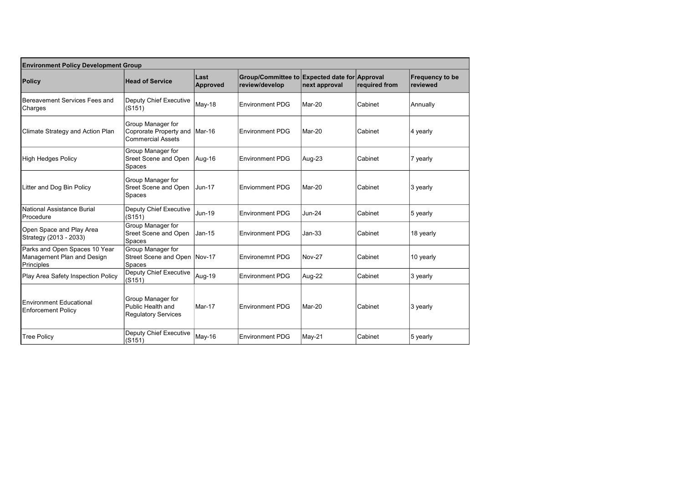| <b>Environment Policy Development Group</b>                               |                                                                                       |                         |                                                                 |               |               |                             |  |  |
|---------------------------------------------------------------------------|---------------------------------------------------------------------------------------|-------------------------|-----------------------------------------------------------------|---------------|---------------|-----------------------------|--|--|
| <b>Policy</b>                                                             | <b>Head of Service</b>                                                                | Last<br><b>Approved</b> | Group/Committee to Expected date for Approval<br>review/develop | next approval | required from | Frequency to be<br>reviewed |  |  |
| Bereavement Services Fees and<br>Charges                                  | Deputy Chief Executive<br>(S151)                                                      | May-18                  | <b>Environment PDG</b>                                          | Mar-20        | Cabinet       | Annually                    |  |  |
| Climate Strategy and Action Plan                                          | <b>Group Manager for</b><br>Coprorate Property and Mar-16<br><b>Commercial Assets</b> |                         | <b>Environment PDG</b>                                          | Mar-20        | Cabinet       | 4 yearly                    |  |  |
| <b>High Hedges Policy</b>                                                 | Group Manager for<br>Sreet Scene and Open<br>Spaces                                   | Aug-16                  | <b>Environment PDG</b>                                          | Aug-23        | Cabinet       | 7 yearly                    |  |  |
| Litter and Dog Bin Policy                                                 | Group Manager for<br><b>Sreet Scene and Open</b><br>Spaces                            | <b>Jun-17</b>           | <b>Enviornment PDG</b>                                          | Mar-20        | Cabinet       | 3 yearly                    |  |  |
| National Assistance Burial<br>Procedure                                   | Deputy Chief Executive<br>(S151)                                                      | <b>Jun-19</b>           | <b>Environment PDG</b>                                          | <b>Jun-24</b> | Cabinet       | $5$ yearly                  |  |  |
| Open Space and Play Area<br>Strategy (2013 - 2033)                        | Group Manager for<br>Sreet Scene and Open<br>Spaces                                   | $Jan-15$                | <b>Environment PDG</b>                                          | $Jan-33$      | Cabinet       | 18 yearly                   |  |  |
| Parks and Open Spaces 10 Year<br>Management Plan and Design<br>Principles | Group Manager for<br>Street Scene and Open Nov-17<br><b>Spaces</b>                    |                         | <b>Environemnt PDG</b>                                          | Nov-27        | Cabinet       | 10 yearly                   |  |  |
| Play Area Safety Inspection Policy                                        | Deputy Chief Executive<br>(S151)                                                      | Aug-19                  | <b>Environment PDG</b>                                          | Aug-22        | Cabinet       | 3 yearly                    |  |  |
| <b>Environment Educational</b><br><b>Enforcement Policy</b>               | Group Manager for<br>Public Health and<br><b>Regulatory Services</b>                  | Mar-17                  | <b>Environment PDG</b>                                          | Mar-20        | Cabinet       | 3 yearly                    |  |  |
| <b>Tree Policy</b>                                                        | Deputy Chief Executive<br>(S151)                                                      | May-16                  | <b>Environment PDG</b>                                          | May-21        | Cabinet       | 5 yearly                    |  |  |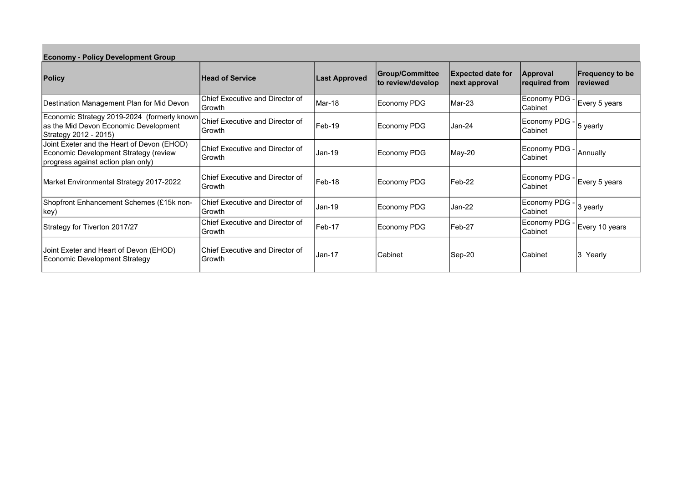| <b>Economy - Policy Development Group</b>                                                                                 |                                             |                      |                                      |                                           |                                 |                                           |  |  |
|---------------------------------------------------------------------------------------------------------------------------|---------------------------------------------|----------------------|--------------------------------------|-------------------------------------------|---------------------------------|-------------------------------------------|--|--|
| <b>Policy</b>                                                                                                             | <b>Head of Service</b>                      | <b>Last Approved</b> | Group/Committee<br>to review/develop | <b>Expected date for</b><br>next approval | Approval<br>required from       | <b>Frequency to be</b><br><i>reviewed</i> |  |  |
| Destination Management Plan for Mid Devon                                                                                 | Chief Executive and Director of<br>l Growth | Mar-18               | Economy PDG                          | Mar-23                                    | Economy PDG<br>lCabinet         | Every 5 years                             |  |  |
| Economic Strategy 2019-2024 (formerly known<br>as the Mid Devon Economic Development<br>Strategy 2012 - 2015)             | Chief Executive and Director of<br>lGrowth. | Feb-19               | Economy PDG                          | lJan-24                                   | Economy PDG<br><b>Cabinet</b>   | 5 yearly                                  |  |  |
| Joint Exeter and the Heart of Devon (EHOD)<br>Economic Development Strategy (review<br>progress against action plan only) | Chief Executive and Director of<br>Growth   | $Jan-19$             | Economy PDG                          | May-20                                    | Economy PDG .<br>lCabinet       | Annually                                  |  |  |
| Market Environmental Strategy 2017-2022                                                                                   | Chief Executive and Director of<br>lGrowth  | Feb-18               | Economy PDG                          | Feb-22                                    | Economy PDG<br>lCabinet         | Every 5 years                             |  |  |
| Shopfront Enhancement Schemes (£15k non-<br> key)                                                                         | Chief Executive and Director of<br>l Growth | $Jan-19$             | Economy PDG                          | Jan-22                                    | Economy PDG<br> Cabinet         | 3 yearly                                  |  |  |
| Strategy for Tiverton 2017/27                                                                                             | Chief Executive and Director of<br>Growth   | Feb-17               | Economy PDG                          | Feb-27                                    | Economy PDG -<br><b>Cabinet</b> | Every 10 years                            |  |  |
| Joint Exeter and Heart of Devon (EHOD)<br>Economic Development Strategy                                                   | lChief Executive and Director of<br>Growth  | Jan-17               | Cabinet                              | Sep-20                                    | lCabinet                        | 3 Yearly                                  |  |  |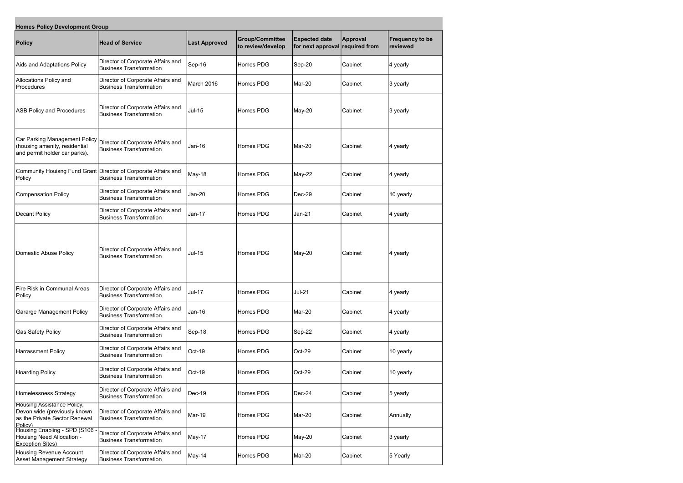| <b>Homes Policy Development Group</b>                                                                         |                                                                                                  |                      |                                      |                                                         |          |                                     |  |  |
|---------------------------------------------------------------------------------------------------------------|--------------------------------------------------------------------------------------------------|----------------------|--------------------------------------|---------------------------------------------------------|----------|-------------------------------------|--|--|
| <b>Policy</b>                                                                                                 | <b>Head of Service</b>                                                                           | <b>Last Approved</b> | Group/Committee<br>to review/develop | <b>Expected date</b><br>for next approval required from | Approval | <b>Frequency to be</b><br> reviewed |  |  |
| Aids and Adaptations Policy                                                                                   | Director of Corporate Affairs and<br><b>Business Transformation</b>                              | Sep-16               | Homes PDG                            | Sep-20                                                  | Cabinet  | $ 4$ yearly                         |  |  |
| Allocations Policy and<br>Procedures                                                                          | Director of Corporate Affairs and<br><b>Business Transformation</b>                              | March 2016           | Homes PDG                            | Mar-20                                                  | Cabinet  | $ 3$ yearly                         |  |  |
| <b>ASB Policy and Procedures</b>                                                                              | Director of Corporate Affairs and<br><b>Business Transformation</b>                              | $Jul-15$             | Homes PDG                            | May-20                                                  | Cabinet  | 3 yearly                            |  |  |
| Car Parking Management Policy<br>(housing amenity, residential<br>and permit holder car parks).               | Director of Corporate Affairs and<br><b>Business Transformation</b>                              | Jan-16               | Homes PDG                            | Mar-20                                                  | Cabinet  | $ 4$ yearly                         |  |  |
| Policy                                                                                                        | Community Houisng Fund Grant Director of Corporate Affairs and<br><b>Business Transformation</b> | May-18               | Homes PDG                            | May-22                                                  | Cabinet  | 4 yearly                            |  |  |
| Compensation Policy                                                                                           | Director of Corporate Affairs and<br><b>Business Transformation</b>                              | Jan-20               | Homes PDG                            | Dec-29                                                  | Cabinet  | 10 yearly                           |  |  |
| Decant Policy                                                                                                 | Director of Corporate Affairs and<br><b>Business Transformation</b>                              | <b>Jan-17</b>        | Homes PDG                            | $Jan-21$                                                | Cabinet  | 4 yearly                            |  |  |
| Domestic Abuse Policy                                                                                         | Director of Corporate Affairs and<br><b>Business Transformation</b>                              | <b>Jul-15</b>        | Homes PDG                            | May-20                                                  | Cabinet  | 4 yearly                            |  |  |
| Fire Risk in Communal Areas<br>Policy                                                                         | Director of Corporate Affairs and<br><b>Business Transformation</b>                              | <b>Jul-17</b>        | Homes PDG                            | <b>Jul-21</b>                                           | Cabinet  | $ 4$ yearly                         |  |  |
| Gararge Management Policy                                                                                     | Director of Corporate Affairs and<br><b>Business Transformation</b>                              | $Jan-16$             | Homes PDG                            | Mar-20                                                  | Cabinet  | 4 yearly                            |  |  |
| <b>Gas Safety Policy</b>                                                                                      | Director of Corporate Affairs and<br><b>Business Transformation</b>                              | Sep-18               | Homes PDG                            | Sep-22                                                  | Cabinet  | $ 4$ yearly                         |  |  |
| Harrassment Policy                                                                                            | Director of Corporate Affairs and<br><b>Business Transformation</b>                              | Oct-19               | Homes PDG                            | Oct-29                                                  | Cabinet  | 10 yearly                           |  |  |
| <b>Hoarding Policy</b>                                                                                        | Director of Corporate Affairs and<br><b>Business Transformation</b>                              | Oct-19               | Homes PDG                            | Oct-29                                                  | Cabinet  | 10 yearly                           |  |  |
| <b>Homelessness Strategy</b>                                                                                  | Director of Corporate Affairs and<br><b>Business Transformation</b>                              | Dec-19               | Homes PDG                            | Dec-24                                                  | Cabinet  | $ 5$ yearly                         |  |  |
| <b>Housing Assistance Policy,</b><br>Devon wide (previously known<br>as the Private Sector Renewal<br>Policy) | Director of Corporate Affairs and<br><b>Business Transformation</b>                              | Mar-19               | Homes PDG                            | Mar-20                                                  | Cabinet  | Annually                            |  |  |
| Housing Enabling - SPD (S106<br>Houisng Need Allocation -<br><b>Exception Sites)</b>                          | Director of Corporate Affairs and<br><b>Business Transformation</b>                              | May-17               | Homes PDG                            | May-20                                                  | Cabinet  | $ 3$ yearly                         |  |  |
| Housing Revenue Account<br>Asset Management Strategy                                                          | Director of Corporate Affairs and<br><b>Business Transformation</b>                              | May-14               | Homes PDG                            | Mar-20                                                  | Cabinet  | 5 Yearly                            |  |  |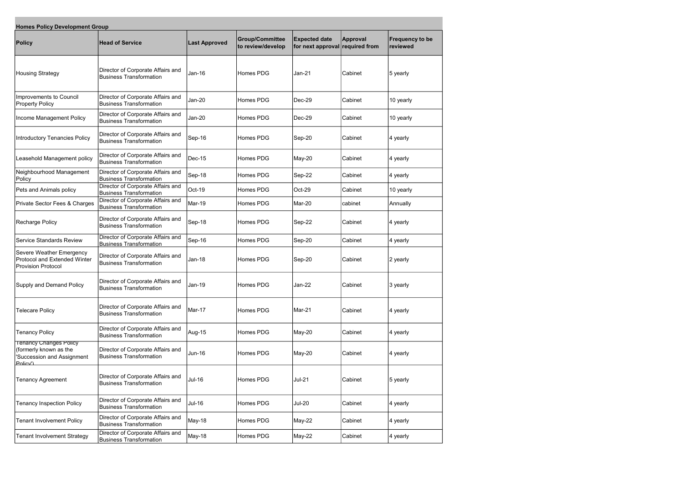| <b>Homes Policy Development Group</b>                                                             |                                                                     |                      |                                      |                                                         |                |                                    |  |  |
|---------------------------------------------------------------------------------------------------|---------------------------------------------------------------------|----------------------|--------------------------------------|---------------------------------------------------------|----------------|------------------------------------|--|--|
| <b>Policy</b>                                                                                     | <b>Head of Service</b>                                              | <b>Last Approved</b> | Group/Committee<br>to review/develop | <b>Expected date</b><br>for next approval required from | Approval       | <b>Frequency to be</b><br>reviewed |  |  |
| <b>Housing Strategy</b>                                                                           | Director of Corporate Affairs and<br><b>Business Transformation</b> | Jan-16               | Homes PDG                            | Jan-21                                                  | Cabinet        | $ 5$ yearly                        |  |  |
| Improvements to Council<br><b>Property Policy</b>                                                 | Director of Corporate Affairs and<br><b>Business Transformation</b> | $Jan-20$             | Homes PDG                            | Dec-29                                                  | Cabinet        | 10 yearly                          |  |  |
| Income Management Policy                                                                          | Director of Corporate Affairs and<br><b>Business Transformation</b> | Jan-20               | Homes PDG                            | Dec-29                                                  | lCabinet       | 10 yearly                          |  |  |
| Introductory Tenancies Policy                                                                     | Director of Corporate Affairs and<br><b>Business Transformation</b> | Sep-16               | Homes PDG                            | Sep-20                                                  | Cabinet        | $ 4$ yearly                        |  |  |
| Leasehold Management policy                                                                       | Director of Corporate Affairs and<br><b>Business Transformation</b> | <b>Dec-15</b>        | Homes PDG                            | May-20                                                  | <b>Cabinet</b> | 4 yearly                           |  |  |
| Neighbourhood Management<br>Policy                                                                | Director of Corporate Affairs and<br><b>Business Transformation</b> | Sep-18               | Homes PDG                            | Sep-22                                                  | lCabinet       | 4 yearly                           |  |  |
| Pets and Animals policy                                                                           | Director of Corporate Affairs and<br><b>Business Transformation</b> | Oct-19               | Homes PDG                            | Oct-29                                                  | Cabinet        | 10 yearly                          |  |  |
| Private Sector Fees & Charges                                                                     | Director of Corporate Affairs and<br><b>Business Transformation</b> | Mar-19               | Homes PDG                            | Mar-20                                                  | cabinet        | Annually                           |  |  |
| <b>Recharge Policy</b>                                                                            | Director of Corporate Affairs and<br><b>Business Transformation</b> | Sep-18               | Homes PDG                            | Sep-22                                                  | Cabinet        | 4 yearly                           |  |  |
| <b>Service Standards Review</b>                                                                   | Director of Corporate Affairs and<br><b>Business Transformation</b> | Sep-16               | Homes PDG                            | Sep-20                                                  | Cabinet        | 4 yearly                           |  |  |
| Severe Weather Emergency<br>Protocol and Extended Winter<br><b>Provision Protocol</b>             | Director of Corporate Affairs and<br><b>Business Transformation</b> | <b>Jan-18</b>        | Homes PDG                            | Sep-20                                                  | Cabinet        | 2 yearly                           |  |  |
| Supply and Demand Policy                                                                          | Director of Corporate Affairs and<br><b>Business Transformation</b> | Jan-19               | Homes PDG                            | Jan-22                                                  | Cabinet        | $ 3$ yearly                        |  |  |
| <b>Telecare Policy</b>                                                                            | Director of Corporate Affairs and<br><b>Business Transformation</b> | Mar-17               | Homes PDG                            | Mar-21                                                  | Cabinet        | 4 yearly                           |  |  |
| <b>Tenancy Policy</b>                                                                             | Director of Corporate Affairs and<br><b>Business Transformation</b> | Aug-15               | Homes PDG                            | May-20                                                  | Cabinet        | $ 4$ yearly                        |  |  |
| <b>Tenancy Changes Policy</b><br>(formerly known as the<br>'Succession and Assignment<br>Policy') | Director of Corporate Affairs and<br><b>Business Transformation</b> | Jun-16               | Homes PDG                            | May-20                                                  | Cabinet        | 4 yearly                           |  |  |
| <b>Tenancy Agreement</b>                                                                          | Director of Corporate Affairs and<br><b>Business Transformation</b> | <b>Jul-16</b>        | Homes PDG                            | $Jul-21$                                                | Cabinet        | $ 5$ yearly                        |  |  |
| <b>Tenancy Inspection Policy</b>                                                                  | Director of Corporate Affairs and<br><b>Business Transformation</b> | <b>Jul-16</b>        | Homes PDG                            | <b>Jul-20</b>                                           | Cabinet        | $ 4$ yearly                        |  |  |
| <b>Tenant Involvement Policy</b>                                                                  | Director of Corporate Affairs and<br><b>Business Transformation</b> | May-18               | Homes PDG                            | May-22                                                  | Cabinet        | 4 yearly                           |  |  |
| <b>Tenant Involvement Strategy</b>                                                                | Director of Corporate Affairs and<br><b>Business Transformation</b> | May-18               | Homes PDG                            | May-22                                                  | Cabinet        | $ 4$ yearly                        |  |  |

the control of the control of the control of the control of the control of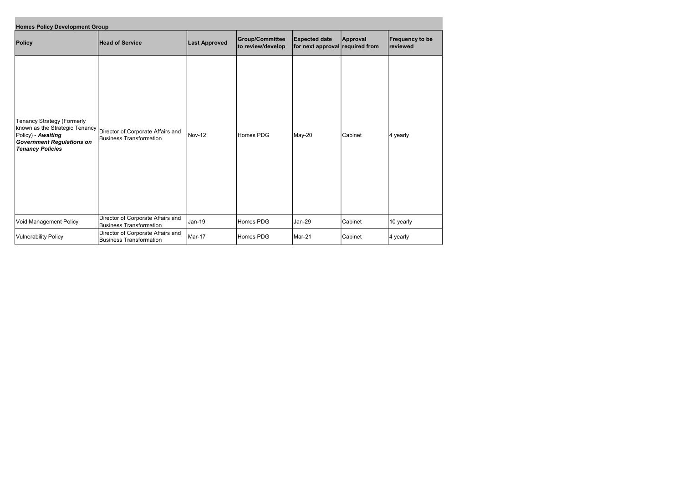| <b>Homes Policy Development Group</b>                                                                                                             |                                                                     |                      |                                             |                                                         |          |                                    |  |  |
|---------------------------------------------------------------------------------------------------------------------------------------------------|---------------------------------------------------------------------|----------------------|---------------------------------------------|---------------------------------------------------------|----------|------------------------------------|--|--|
| <b>Policy</b>                                                                                                                                     | <b>Head of Service</b>                                              | <b>Last Approved</b> | <b>Group/Committee</b><br>to review/develop | <b>Expected date</b><br>for next approval required from | Approval | <b>Frequency to be</b><br>reviewed |  |  |
| Tenancy Strategy (Formerly<br>known as the Strategic Tenancy<br>Policy) - Awaiting<br><b>Government Regulations on</b><br><b>Tenancy Policies</b> | Director of Corporate Affairs and<br>Business Transformation        | Nov-12               | Homes PDG                                   | May-20                                                  | Cabinet  | $ 4$ yearly                        |  |  |
| Void Management Policy                                                                                                                            | Director of Corporate Affairs and<br>Business Transformation        | Jan-19               | Homes PDG                                   | Jan-29                                                  | Cabinet  | 10 yearly                          |  |  |
| <b>Vulnerability Policy</b>                                                                                                                       | Director of Corporate Affairs and<br><b>Business Transformation</b> | Mar-17               | Homes PDG                                   | Mar-21                                                  | Cabinet  | 4 yearly                           |  |  |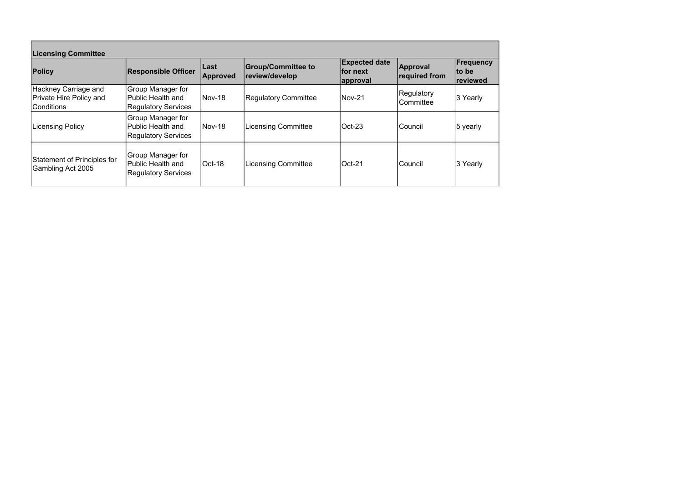| <b>Licensing Committee</b>                                                   |                                                                             |                   |                                             |                                               |                           |                                 |  |  |
|------------------------------------------------------------------------------|-----------------------------------------------------------------------------|-------------------|---------------------------------------------|-----------------------------------------------|---------------------------|---------------------------------|--|--|
| <b>Policy</b>                                                                | <b>Responsible Officer</b>                                                  | ∣Last<br>Approved | <b>Group/Committee to</b><br>review/develop | <b>Expected date</b><br>∣for next<br>approval | Approval<br>required from | Frequency<br> to be<br>reviewed |  |  |
| <b>Hackney Carriage and</b><br><b>Private Hire Policy and</b><br>lConditions | <b>Group Manager for</b><br>Public Health and<br><b>Regulatory Services</b> | $Nov-18$          | <b>Regulatory Committee</b>                 | $Nov-21$                                      | Regulatory<br>lCommittee  | 3 Yearly                        |  |  |
| <b>Licensing Policy</b>                                                      | <b>Group Manager for</b><br>Public Health and<br><b>Regulatory Services</b> | $Nov-18$          | Licensing Committee                         | $ Oct-23$                                     | Council                   | 5 yearly                        |  |  |
| <b>Statement of Principles for</b><br>Gambling Act 2005                      | Group Manager for<br>Public Health and<br><b>Regulatory Services</b>        | $ Oct-18 $        | Licensing Committee                         | $ Oct-21$                                     | Council                   | 3 Yearly                        |  |  |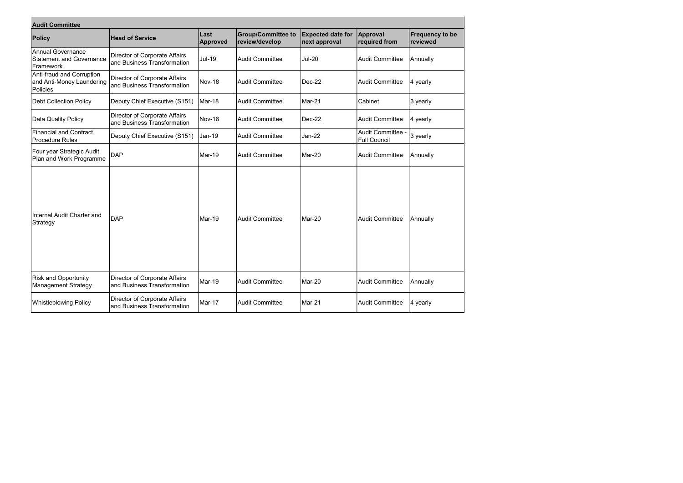| <b>Audit Committee</b>                                                   |                                                                     |                         |                                             |                                           |                                               |                                    |  |  |  |
|--------------------------------------------------------------------------|---------------------------------------------------------------------|-------------------------|---------------------------------------------|-------------------------------------------|-----------------------------------------------|------------------------------------|--|--|--|
| <b>Policy</b>                                                            | <b>Head of Service</b>                                              | Last<br><b>Approved</b> | <b>Group/Committee to</b><br>review/develop | <b>Expected date for</b><br>next approval | Approval<br>required from                     | <b>Frequency to be</b><br>reviewed |  |  |  |
| <b>Annual Governance</b><br><b>Statement and Governance</b><br>Framework | Director of Corporate Affairs<br>and Business Transformation        | <b>Jul-19</b>           | <b>Audit Committee</b>                      | <b>Jul-20</b>                             | Audit Committee                               | Annually                           |  |  |  |
| Anti-fraud and Corruption<br>and Anti-Money Laundering<br>Policies       | Director of Corporate Affairs<br>and Business Transformation        | Nov-18                  | <b>Audit Committee</b>                      | Dec-22                                    | Audit Committee                               | $ 4$ yearly                        |  |  |  |
| <b>Debt Collection Policy</b>                                            | Deputy Chief Executive (S151)                                       | Mar-18                  | <b>Audit Committee</b>                      | Mar-21                                    | Cabinet                                       | 3 yearly                           |  |  |  |
| Data Quality Policy                                                      | Director of Corporate Affairs<br>and Business Transformation        | Nov-18                  | <b>Audit Committee</b>                      | Dec-22                                    | Audit Committee                               | 4 yearly                           |  |  |  |
| <b>Financial and Contract</b><br><b>Procedure Rules</b>                  | Deputy Chief Executive (S151)                                       | Jan-19                  | <b>Audit Committee</b>                      | <b>Jan-22</b>                             | <b>Audit Committee</b><br><b>Full Council</b> | 3 yearly                           |  |  |  |
| Four year Strategic Audit<br>Plan and Work Programme                     | <b>DAP</b>                                                          | Mar-19                  | <b>Audit Committee</b>                      | Mar-20                                    | Audit Committee                               | Annually                           |  |  |  |
| Internal Audit Charter and<br>Strategy                                   | <b>DAP</b>                                                          | Mar-19                  | <b>Audit Committee</b>                      | Mar-20                                    | Audit Committee                               | Annually                           |  |  |  |
| <b>Risk and Opportunity</b><br><b>Management Strategy</b>                | Director of Corporate Affairs<br>and Business Transformation        | Mar-19                  | <b>Audit Committee</b>                      | Mar-20                                    | Audit Committee                               | Annually                           |  |  |  |
| <b>Whistleblowing Policy</b>                                             | <b>Director of Corporate Affairs</b><br>and Business Transformation | Mar-17                  | <b>Audit Committee</b>                      | Mar-21                                    | Audit Committee                               | 4 yearly                           |  |  |  |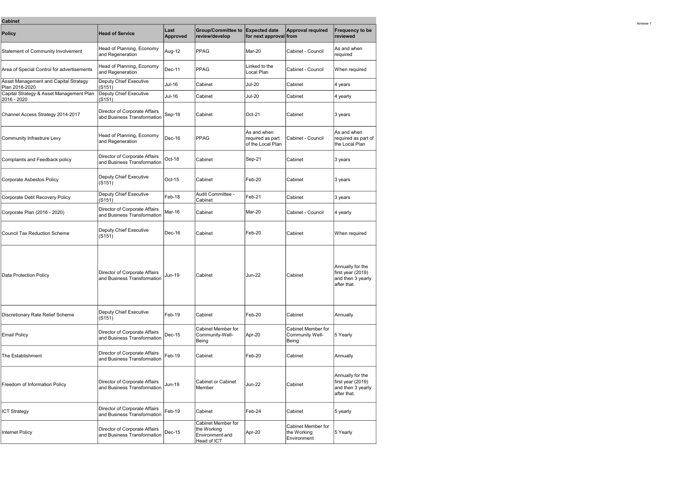Annexe 1

| <b>Cabinet</b>                                          |                                                              |                         |                                                                            |                                                      |                                                  |                                                                           |
|---------------------------------------------------------|--------------------------------------------------------------|-------------------------|----------------------------------------------------------------------------|------------------------------------------------------|--------------------------------------------------|---------------------------------------------------------------------------|
| <b>Policy</b>                                           | <b>Head of Service</b>                                       | Last<br><b>Approved</b> | <b>Group/Committee to</b><br>review/develop                                | <b>Expected date</b><br>for next approval from       | <b>Approval required</b>                         | <b>Frequency to be</b><br>reviewed                                        |
| Statement of Community Involvement                      | Head of Planning, Economy<br>and Regeneration                | Aug-12                  | PPAG                                                                       | Mar-20                                               | Cabinet - Council                                | As and when<br>required                                                   |
| Area of Special Control for advertisements              | Head of Planning, Economy<br>and Regeneration                | Dec-11                  | <b>PPAG</b>                                                                | Linked to the<br>Local Plan                          | Cabinet - Council                                | When required                                                             |
| Asset Management and Capital Strategy<br>Plan 2016-2020 | Deputy Chief Executive<br>(S151)                             | Jul-16                  | Cabinet                                                                    | <b>Jul-20</b>                                        | Cabinet                                          | 4 years                                                                   |
| Capital Strategy & Asset Management Plan<br>2016 - 2020 | Deputy Chief Executive<br>(S151)                             | Jul-16                  | Cabinet                                                                    | <b>Jul-20</b>                                        | Cabinet                                          | 4 yearly                                                                  |
| Channel Access Strategy 2014-2017                       | Director of Corporate Affairs<br>abd Business Transformation | Sep-18                  | Cabinet                                                                    | Oct-21                                               | Cabinet                                          | 3 years                                                                   |
| Community Infrastrure Levy                              | Head of Planning, Economy<br>and Regeneration                | Dec-16                  | PPAG                                                                       | As and when<br>required as part<br>of the Local Plan | Cabinet - Council                                | As and when<br>required as part of<br>the Local Plan                      |
| Complaints and Feedback policy                          | Director of Corporate Affairs<br>and Business Transformation | Oct-18                  | Cabinet                                                                    | Sep-21                                               | Cabinet                                          | 3 years                                                                   |
| Corporate Asbestos Policy                               | Deputy Chief Executive<br>(S151)                             | Oct-15                  | Cabinet                                                                    | Feb-20                                               | Cabinet                                          | 3 years                                                                   |
| Corporate Debt Recovery Policy                          | Deputy Chief Executive<br>(S151)                             | Feb-18                  | Audit Committee -<br>Cabinet                                               | Feb-21                                               | Cabinet                                          | 3 years                                                                   |
| Corporate Plan (2016 - 2020)                            | Director of Corporate Affairs<br>and Business Transformation | Mar-16                  | Cabinet                                                                    | Mar-20                                               | Cabinet - Council                                | 4 yearly                                                                  |
| Council Tax Reduction Scheme                            | Deputy Chief Executive<br>(S151)                             | Dec-16                  | Cabinet                                                                    | Feb-20                                               | Cabinet                                          | When required                                                             |
| Data Protection Policy                                  | Director of Corporate Affairs<br>and Business Transformation | Jun-19                  | Cabinet                                                                    | Jun-22                                               | Cabinet                                          | Annually for the<br>first year (2019)<br>and then 3 yearly<br>after that. |
| Discretionary Rate Relief Scheme                        | Deputy Chief Executive<br>(S151)                             | Feb-19                  | Cabinet                                                                    | Feb-20                                               | Cabinet                                          | Annually                                                                  |
| <b>Email Policy</b>                                     | Director of Corporate Affairs<br>and Business Transformation | $Dec-15$                | Cabinet Member for<br>Community-Well-<br>Being                             | Apr-20                                               | Cabinet Member for<br>Community Well-<br>Being   | 5 Yearly                                                                  |
| The Establishment                                       | Director of Corporate Affairs<br>and Business Transformation | Feb-19                  | Cabinet                                                                    | Feb-20                                               | Cabinet                                          | Annually                                                                  |
| Freedom of Information Policy                           | Director of Corporate Affairs<br>and Business Transformation | Jun-19                  | <b>Cabinet or Cabinet</b><br>Member                                        | <b>Jun-22</b>                                        | Cabinet                                          | Annually for the<br>first year (2019)<br>and then 3 yearly<br>after that. |
| <b>ICT Strategy</b>                                     | Director of Corporate Affairs<br>and Business Transformation | Feb-19                  | Cabinet                                                                    | Feb-24                                               | Cabinet                                          | 5 yearly                                                                  |
| <b>Internet Policy</b>                                  | Director of Corporate Affairs<br>and Business Transformation | $Dec-15$                | <b>Cabinet Member for</b><br>the Working<br>Environment and<br>Head of ICT | Apr-20                                               | Cabinet Member for<br>the Working<br>Environment | 5 Yearly                                                                  |